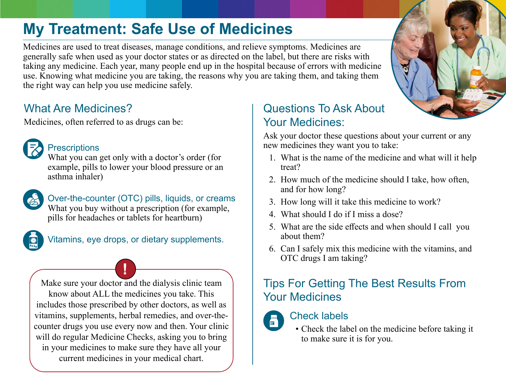# **My Treatment: Safe Use of Medicines**

Medicines are used to treat diseases, manage conditions, and relieve symptoms. Medicines are generally safe when used as your doctor states or as directed on the label, but there are risks with taking any medicine. Each year, many people end up in the hospital because of errors with medicine use. Knowing what medicine you are taking, the reasons why you are taking them, and taking them the right way can help you use medicine safely.

### What Are Medicines?

Medicines, often referred to as drugs can be:



#### **Prescriptions**

What you can get only with a doctor's order (for example, pills to lower your blood pressure or an asthma inhaler)



Over-the-counter (OTC) pills, liquids, or creams What you buy without a prescription (for example, pills for headaches or tablets for heartburn)



Vitamins, eye drops, or dietary supplements.

**!** Make sure your doctor and the dialysis clinic team know about ALL the medicines you take. This includes those prescribed by other doctors, as well as vitamins, supplements, herbal remedies, and over-thecounter drugs you use every now and then. Your clinic will do regular Medicine Checks, asking you to bring in your medicines to make sure they have all your current medicines in your medical chart.

### Questions To Ask About Your Medicines:

Ask your doctor these questions about your current or any new medicines they want you to take:

- 1. What is the name of the medicine and what will it help treat?
- 2. How much of the medicine should I take, how often, and for how long?
- 3. How long will it take this medicine to work?
- 4. What should I do if I miss a dose?
- 5. What are the side effects and when should I call you about them?
- 6. Can I safely mix this medicine with the vitamins, and OTC drugs I am taking?

# Tips For Getting The Best Results From Your Medicines

## Check labels

F

• Check the label on the medicine before taking it to make sure it is for you.